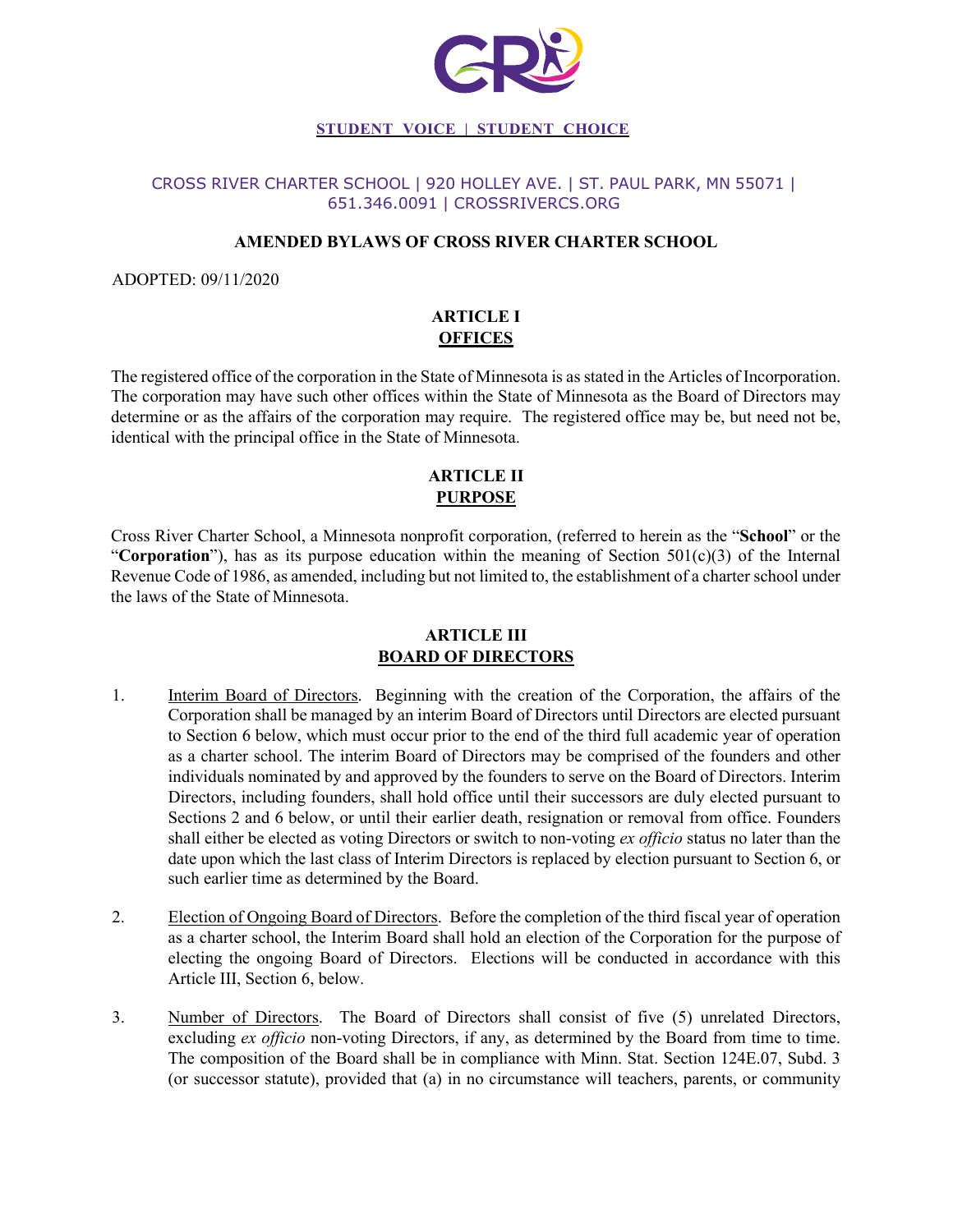

#### CROSS RIVER CHARTER SCHOOL | 920 HOLLEY AVE. | ST. PAUL PARK, MN 55071 | 651.346.0091 | CROSSRIVERCS.ORG

#### **AMENDED BYLAWS OF CROSS RIVER CHARTER SCHOOL**

ADOPTED: 09/11/2020

# **ARTICLE I OFFICES**

The registered office of the corporation in the State of Minnesota is as stated in the Articles of Incorporation. The corporation may have such other offices within the State of Minnesota as the Board of Directors may determine or as the affairs of the corporation may require. The registered office may be, but need not be, identical with the principal office in the State of Minnesota.

# **ARTICLE II PURPOSE**

Cross River Charter School, a Minnesota nonprofit corporation, (referred to herein as the "**School**" or the "**Corporation**"), has as its purpose education within the meaning of Section 501(c)(3) of the Internal Revenue Code of 1986, as amended, including but not limited to, the establishment of a charter school under the laws of the State of Minnesota.

# **ARTICLE III BOARD OF DIRECTORS**

- 1. Interim Board of Directors. Beginning with the creation of the Corporation, the affairs of the Corporation shall be managed by an interim Board of Directors until Directors are elected pursuant to Section 6 below, which must occur prior to the end of the third full academic year of operation as a charter school. The interim Board of Directors may be comprised of the founders and other individuals nominated by and approved by the founders to serve on the Board of Directors. Interim Directors, including founders, shall hold office until their successors are duly elected pursuant to Sections 2 and 6 below, or until their earlier death, resignation or removal from office. Founders shall either be elected as voting Directors or switch to non-voting *ex officio* status no later than the date upon which the last class of Interim Directors is replaced by election pursuant to Section 6, or such earlier time as determined by the Board.
- 2. Election of Ongoing Board of Directors. Before the completion of the third fiscal year of operation as a charter school, the Interim Board shall hold an election of the Corporation for the purpose of electing the ongoing Board of Directors. Elections will be conducted in accordance with this Article III, Section 6, below.
- 3. Number of Directors. The Board of Directors shall consist of five (5) unrelated Directors, excluding *ex officio* non-voting Directors, if any, as determined by the Board from time to time. The composition of the Board shall be in compliance with Minn. Stat. Section 124E.07, Subd. 3 (or successor statute), provided that (a) in no circumstance will teachers, parents, or community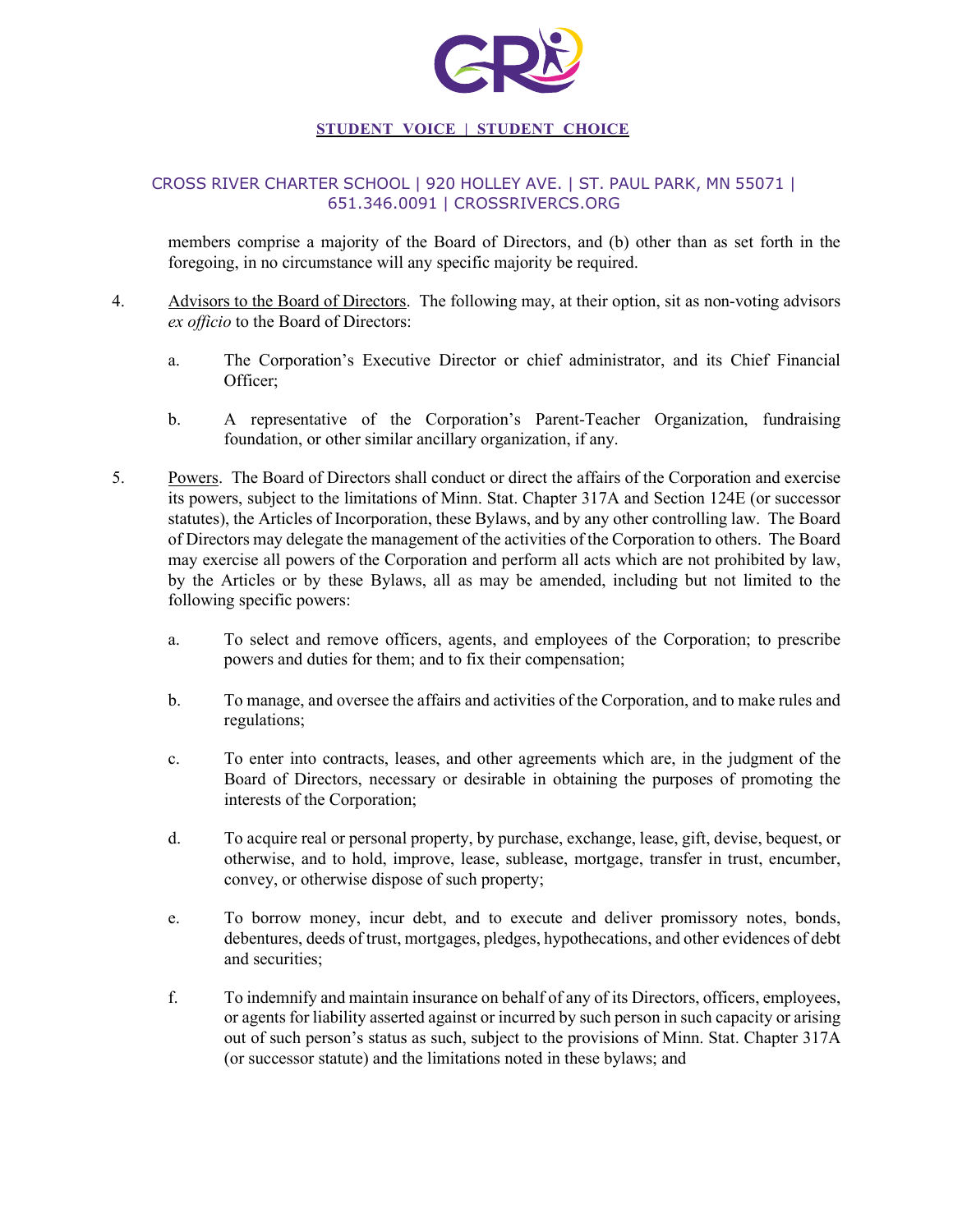

### CROSS RIVER CHARTER SCHOOL | 920 HOLLEY AVE. | ST. PAUL PARK, MN 55071 | 651.346.0091 | CROSSRIVERCS.ORG

members comprise a majority of the Board of Directors, and (b) other than as set forth in the foregoing, in no circumstance will any specific majority be required.

- 4. Advisors to the Board of Directors. The following may, at their option, sit as non-voting advisors *ex officio* to the Board of Directors:
	- a. The Corporation's Executive Director or chief administrator, and its Chief Financial Officer;
	- b. A representative of the Corporation's Parent-Teacher Organization, fundraising foundation, or other similar ancillary organization, if any.
- 5. Powers. The Board of Directors shall conduct or direct the affairs of the Corporation and exercise its powers, subject to the limitations of Minn. Stat. Chapter 317A and Section 124E (or successor statutes), the Articles of Incorporation, these Bylaws, and by any other controlling law. The Board of Directors may delegate the management of the activities of the Corporation to others. The Board may exercise all powers of the Corporation and perform all acts which are not prohibited by law, by the Articles or by these Bylaws, all as may be amended, including but not limited to the following specific powers:
	- a. To select and remove officers, agents, and employees of the Corporation; to prescribe powers and duties for them; and to fix their compensation;
	- b. To manage, and oversee the affairs and activities of the Corporation, and to make rules and regulations;
	- c. To enter into contracts, leases, and other agreements which are, in the judgment of the Board of Directors, necessary or desirable in obtaining the purposes of promoting the interests of the Corporation;
	- d. To acquire real or personal property, by purchase, exchange, lease, gift, devise, bequest, or otherwise, and to hold, improve, lease, sublease, mortgage, transfer in trust, encumber, convey, or otherwise dispose of such property;
	- e. To borrow money, incur debt, and to execute and deliver promissory notes, bonds, debentures, deeds of trust, mortgages, pledges, hypothecations, and other evidences of debt and securities;
	- f. To indemnify and maintain insurance on behalf of any of its Directors, officers, employees, or agents for liability asserted against or incurred by such person in such capacity or arising out of such person's status as such, subject to the provisions of Minn. Stat. Chapter 317A (or successor statute) and the limitations noted in these bylaws; and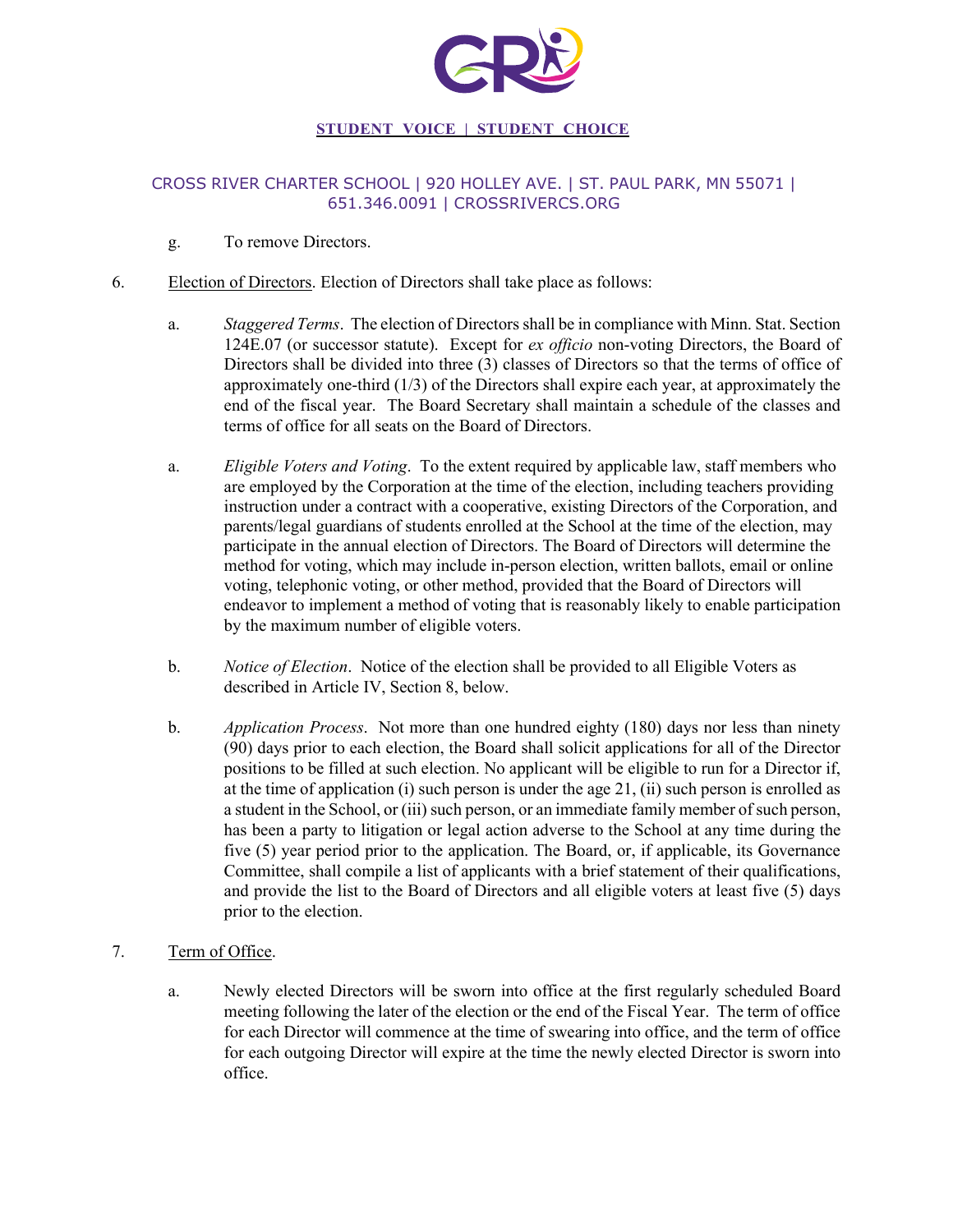

### CROSS RIVER CHARTER SCHOOL | 920 HOLLEY AVE. | ST. PAUL PARK, MN 55071 | 651.346.0091 | CROSSRIVERCS.ORG

- g. To remove Directors.
- 6. Election of Directors. Election of Directors shall take place as follows:
	- a. *Staggered Terms*. The election of Directors shall be in compliance with Minn. Stat. Section 124E.07 (or successor statute). Except for *ex officio* non-voting Directors, the Board of Directors shall be divided into three (3) classes of Directors so that the terms of office of approximately one-third (1/3) of the Directors shall expire each year, at approximately the end of the fiscal year. The Board Secretary shall maintain a schedule of the classes and terms of office for all seats on the Board of Directors.
	- a. *Eligible Voters and Voting*. To the extent required by applicable law, staff members who are employed by the Corporation at the time of the election, including teachers providing instruction under a contract with a cooperative, existing Directors of the Corporation, and parents/legal guardians of students enrolled at the School at the time of the election, may participate in the annual election of Directors. The Board of Directors will determine the method for voting, which may include in-person election, written ballots, email or online voting, telephonic voting, or other method, provided that the Board of Directors will endeavor to implement a method of voting that is reasonably likely to enable participation by the maximum number of eligible voters.
	- b. *Notice of Election*. Notice of the election shall be provided to all Eligible Voters as described in Article IV, Section 8, below.
	- b. *Application Process*. Not more than one hundred eighty (180) days nor less than ninety (90) days prior to each election, the Board shall solicit applications for all of the Director positions to be filled at such election. No applicant will be eligible to run for a Director if, at the time of application (i) such person is under the age 21, (ii) such person is enrolled as a student in the School, or (iii) such person, or an immediate family member of such person, has been a party to litigation or legal action adverse to the School at any time during the five (5) year period prior to the application. The Board, or, if applicable, its Governance Committee, shall compile a list of applicants with a brief statement of their qualifications, and provide the list to the Board of Directors and all eligible voters at least five (5) days prior to the election.

### 7. Term of Office.

a. Newly elected Directors will be sworn into office at the first regularly scheduled Board meeting following the later of the election or the end of the Fiscal Year. The term of office for each Director will commence at the time of swearing into office, and the term of office for each outgoing Director will expire at the time the newly elected Director is sworn into office.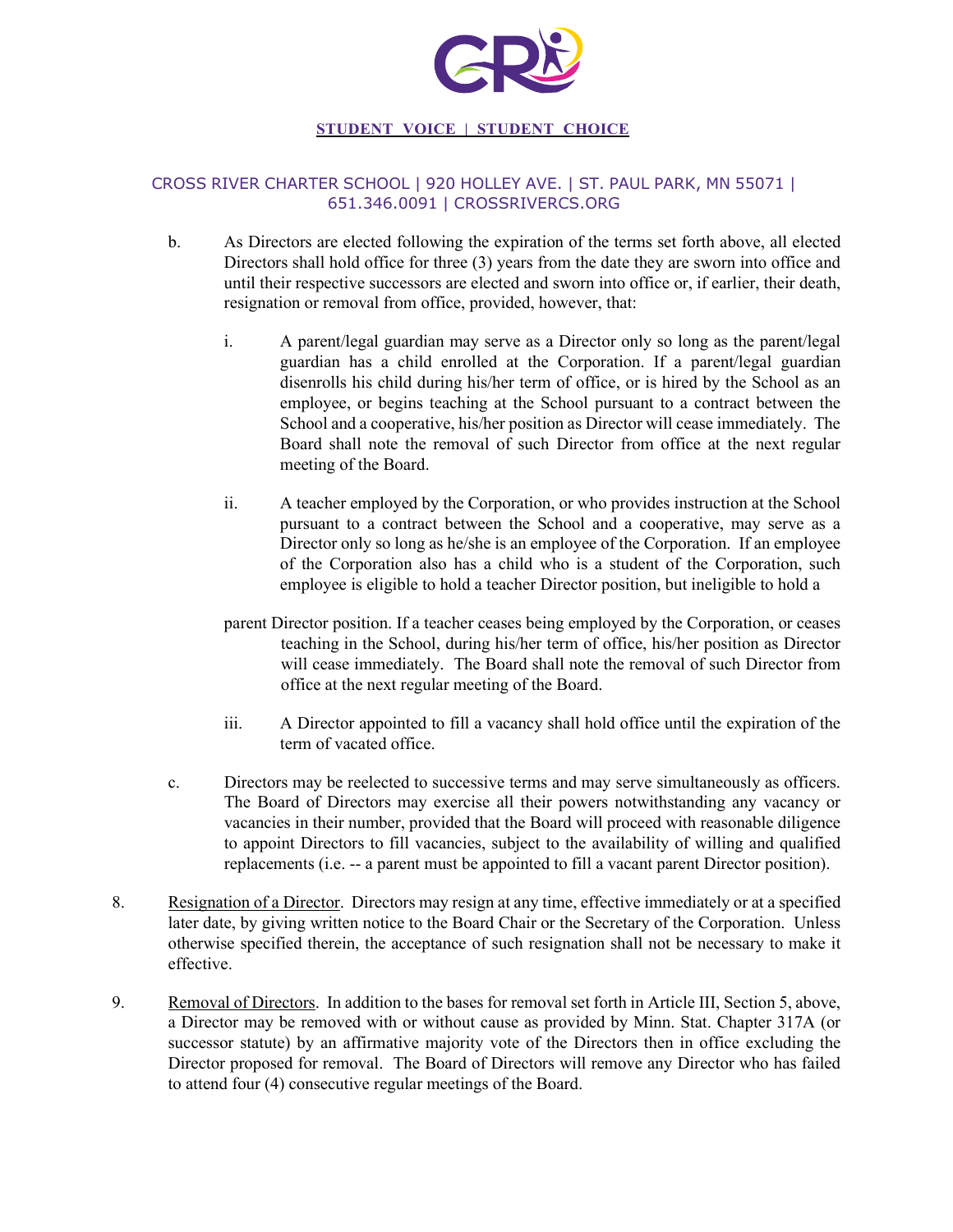

# CROSS RIVER CHARTER SCHOOL | 920 HOLLEY AVE. | ST. PAUL PARK, MN 55071 | 651.346.0091 | CROSSRIVERCS.ORG

- b. As Directors are elected following the expiration of the terms set forth above, all elected Directors shall hold office for three (3) years from the date they are sworn into office and until their respective successors are elected and sworn into office or, if earlier, their death, resignation or removal from office, provided, however, that:
	- i. A parent/legal guardian may serve as a Director only so long as the parent/legal guardian has a child enrolled at the Corporation. If a parent/legal guardian disenrolls his child during his/her term of office, or is hired by the School as an employee, or begins teaching at the School pursuant to a contract between the School and a cooperative, his/her position as Director will cease immediately. The Board shall note the removal of such Director from office at the next regular meeting of the Board.
	- ii. A teacher employed by the Corporation, or who provides instruction at the School pursuant to a contract between the School and a cooperative, may serve as a Director only so long as he/she is an employee of the Corporation. If an employee of the Corporation also has a child who is a student of the Corporation, such employee is eligible to hold a teacher Director position, but ineligible to hold a
	- parent Director position. If a teacher ceases being employed by the Corporation, or ceases teaching in the School, during his/her term of office, his/her position as Director will cease immediately. The Board shall note the removal of such Director from office at the next regular meeting of the Board.
	- iii. A Director appointed to fill a vacancy shall hold office until the expiration of the term of vacated office.
- c. Directors may be reelected to successive terms and may serve simultaneously as officers. The Board of Directors may exercise all their powers notwithstanding any vacancy or vacancies in their number, provided that the Board will proceed with reasonable diligence to appoint Directors to fill vacancies, subject to the availability of willing and qualified replacements (i.e. -- a parent must be appointed to fill a vacant parent Director position).
- 8. Resignation of a Director. Directors may resign at any time, effective immediately or at a specified later date, by giving written notice to the Board Chair or the Secretary of the Corporation. Unless otherwise specified therein, the acceptance of such resignation shall not be necessary to make it effective.
- 9. Removal of Directors. In addition to the bases for removal set forth in Article III, Section 5, above, a Director may be removed with or without cause as provided by Minn. Stat. Chapter 317A (or successor statute) by an affirmative majority vote of the Directors then in office excluding the Director proposed for removal. The Board of Directors will remove any Director who has failed to attend four (4) consecutive regular meetings of the Board.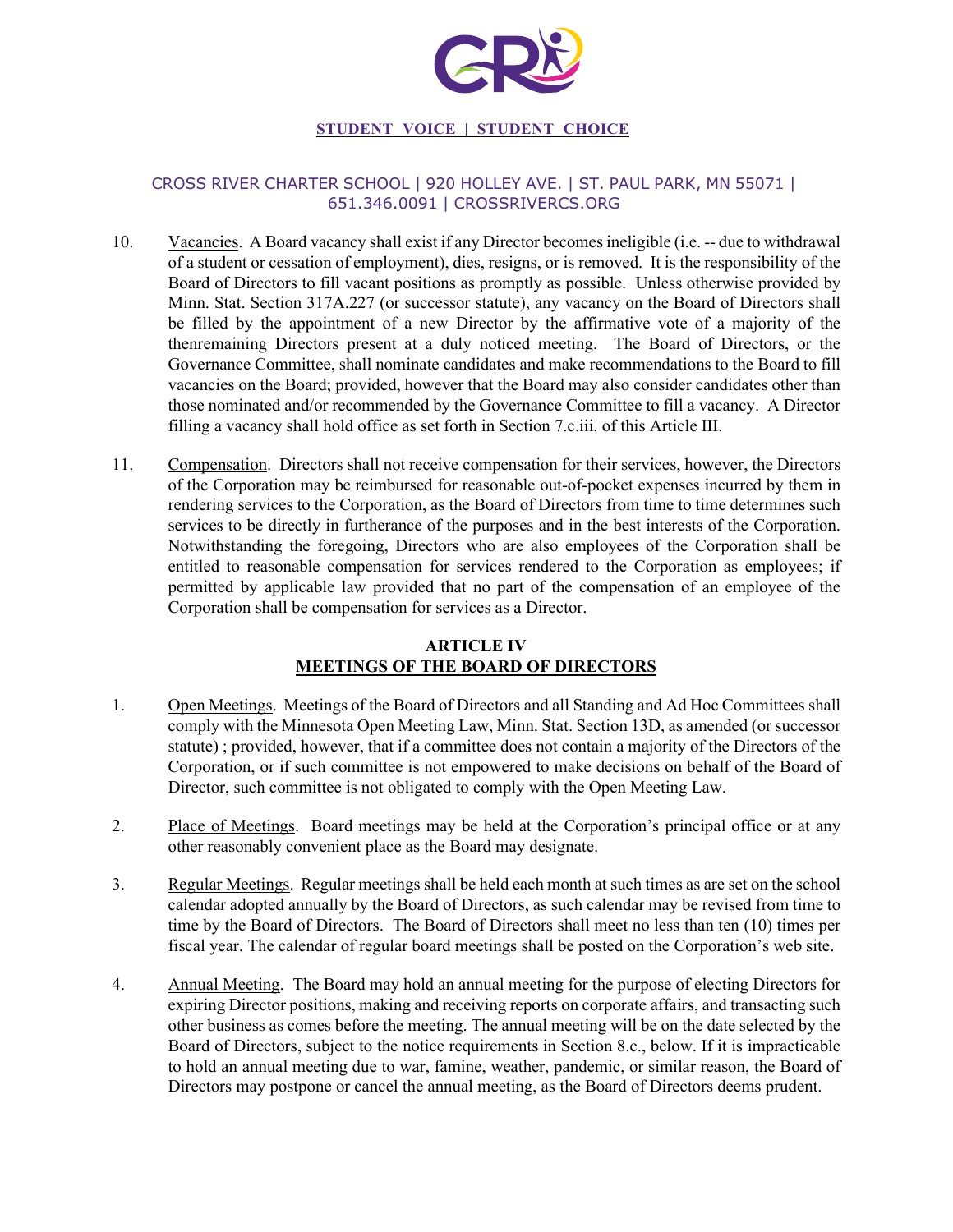

### CROSS RIVER CHARTER SCHOOL | 920 HOLLEY AVE. | ST. PAUL PARK, MN 55071 | 651.346.0091 | CROSSRIVERCS.ORG

- 10. Vacancies. A Board vacancy shall exist if any Director becomes ineligible (i.e. -- due to withdrawal of a student or cessation of employment), dies, resigns, or is removed. It is the responsibility of the Board of Directors to fill vacant positions as promptly as possible. Unless otherwise provided by Minn. Stat. Section 317A.227 (or successor statute), any vacancy on the Board of Directors shall be filled by the appointment of a new Director by the affirmative vote of a majority of the thenremaining Directors present at a duly noticed meeting. The Board of Directors, or the Governance Committee, shall nominate candidates and make recommendations to the Board to fill vacancies on the Board; provided, however that the Board may also consider candidates other than those nominated and/or recommended by the Governance Committee to fill a vacancy. A Director filling a vacancy shall hold office as set forth in Section 7.c.iii. of this Article III.
- 11. Compensation. Directors shall not receive compensation for their services, however, the Directors of the Corporation may be reimbursed for reasonable out-of-pocket expenses incurred by them in rendering services to the Corporation, as the Board of Directors from time to time determines such services to be directly in furtherance of the purposes and in the best interests of the Corporation. Notwithstanding the foregoing, Directors who are also employees of the Corporation shall be entitled to reasonable compensation for services rendered to the Corporation as employees; if permitted by applicable law provided that no part of the compensation of an employee of the Corporation shall be compensation for services as a Director.

# **ARTICLE IV MEETINGS OF THE BOARD OF DIRECTORS**

- 1. Open Meetings. Meetings of the Board of Directors and all Standing and Ad Hoc Committees shall comply with the Minnesota Open Meeting Law, Minn. Stat. Section 13D, as amended (or successor statute) ; provided, however, that if a committee does not contain a majority of the Directors of the Corporation, or if such committee is not empowered to make decisions on behalf of the Board of Director, such committee is not obligated to comply with the Open Meeting Law.
- 2. Place of Meetings. Board meetings may be held at the Corporation's principal office or at any other reasonably convenient place as the Board may designate.
- 3. Regular Meetings. Regular meetings shall be held each month at such times as are set on the school calendar adopted annually by the Board of Directors, as such calendar may be revised from time to time by the Board of Directors. The Board of Directors shall meet no less than ten (10) times per fiscal year. The calendar of regular board meetings shall be posted on the Corporation's web site.
- 4. Annual Meeting. The Board may hold an annual meeting for the purpose of electing Directors for expiring Director positions, making and receiving reports on corporate affairs, and transacting such other business as comes before the meeting. The annual meeting will be on the date selected by the Board of Directors, subject to the notice requirements in Section 8.c., below. If it is impracticable to hold an annual meeting due to war, famine, weather, pandemic, or similar reason, the Board of Directors may postpone or cancel the annual meeting, as the Board of Directors deems prudent.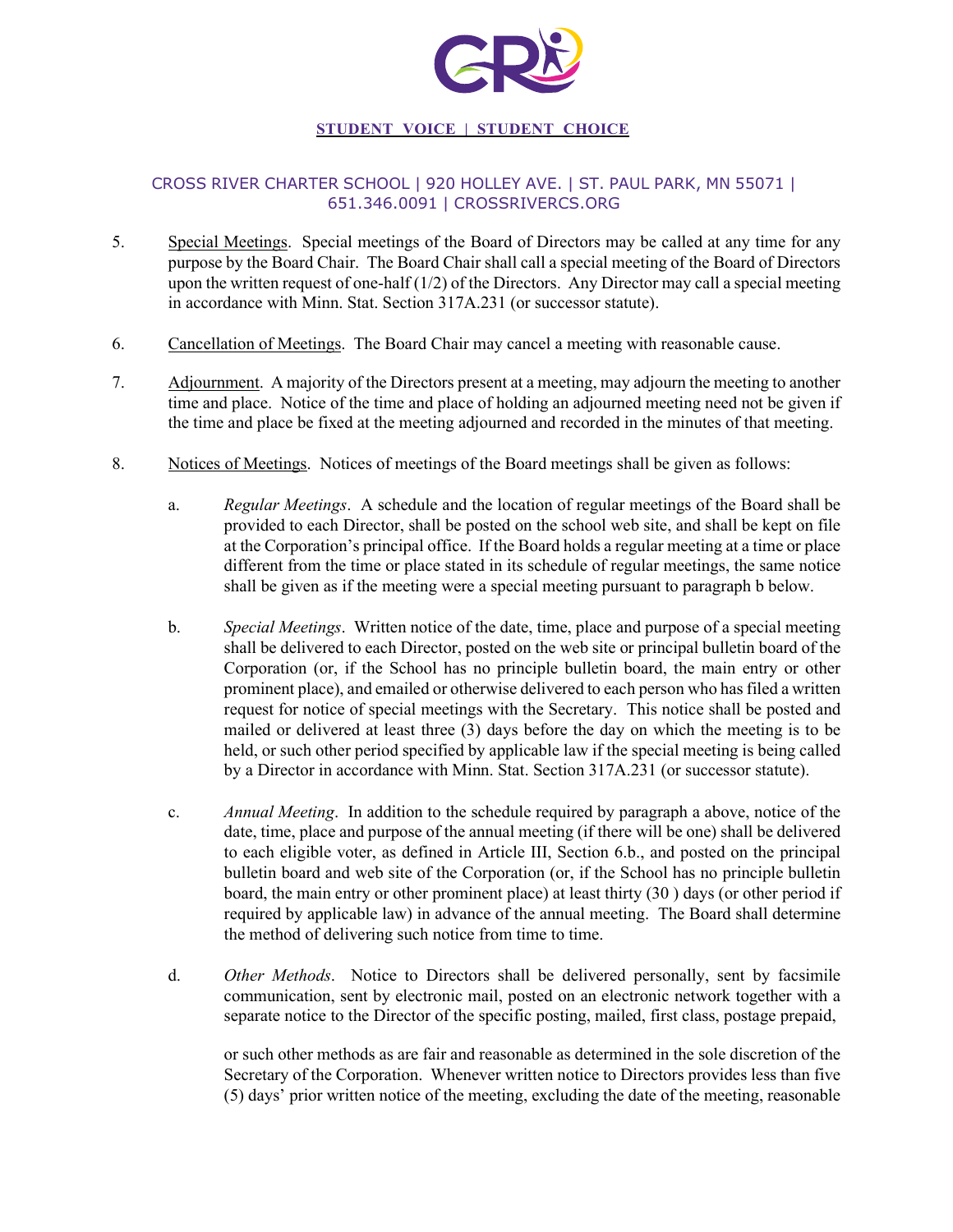

## CROSS RIVER CHARTER SCHOOL | 920 HOLLEY AVE. | ST. PAUL PARK, MN 55071 | 651.346.0091 | CROSSRIVERCS.ORG

- 5. Special Meetings. Special meetings of the Board of Directors may be called at any time for any purpose by the Board Chair. The Board Chair shall call a special meeting of the Board of Directors upon the written request of one-half  $(1/2)$  of the Directors. Any Director may call a special meeting in accordance with Minn. Stat. Section 317A.231 (or successor statute).
- 6. Cancellation of Meetings. The Board Chair may cancel a meeting with reasonable cause.
- 7. Adjournment. A majority of the Directors present at a meeting, may adjourn the meeting to another time and place. Notice of the time and place of holding an adjourned meeting need not be given if the time and place be fixed at the meeting adjourned and recorded in the minutes of that meeting.
- 8. Notices of Meetings. Notices of meetings of the Board meetings shall be given as follows:
	- a. *Regular Meetings*. A schedule and the location of regular meetings of the Board shall be provided to each Director, shall be posted on the school web site, and shall be kept on file at the Corporation's principal office. If the Board holds a regular meeting at a time or place different from the time or place stated in its schedule of regular meetings, the same notice shall be given as if the meeting were a special meeting pursuant to paragraph b below.
	- b. *Special Meetings*. Written notice of the date, time, place and purpose of a special meeting shall be delivered to each Director, posted on the web site or principal bulletin board of the Corporation (or, if the School has no principle bulletin board, the main entry or other prominent place), and emailed or otherwise delivered to each person who has filed a written request for notice of special meetings with the Secretary. This notice shall be posted and mailed or delivered at least three (3) days before the day on which the meeting is to be held, or such other period specified by applicable law if the special meeting is being called by a Director in accordance with Minn. Stat. Section 317A.231 (or successor statute).
	- c. *Annual Meeting*. In addition to the schedule required by paragraph a above, notice of the date, time, place and purpose of the annual meeting (if there will be one) shall be delivered to each eligible voter, as defined in Article III, Section 6.b., and posted on the principal bulletin board and web site of the Corporation (or, if the School has no principle bulletin board, the main entry or other prominent place) at least thirty (30 ) days (or other period if required by applicable law) in advance of the annual meeting. The Board shall determine the method of delivering such notice from time to time.
	- d. *Other Methods*. Notice to Directors shall be delivered personally, sent by facsimile communication, sent by electronic mail, posted on an electronic network together with a separate notice to the Director of the specific posting, mailed, first class, postage prepaid,

or such other methods as are fair and reasonable as determined in the sole discretion of the Secretary of the Corporation. Whenever written notice to Directors provides less than five (5) days' prior written notice of the meeting, excluding the date of the meeting, reasonable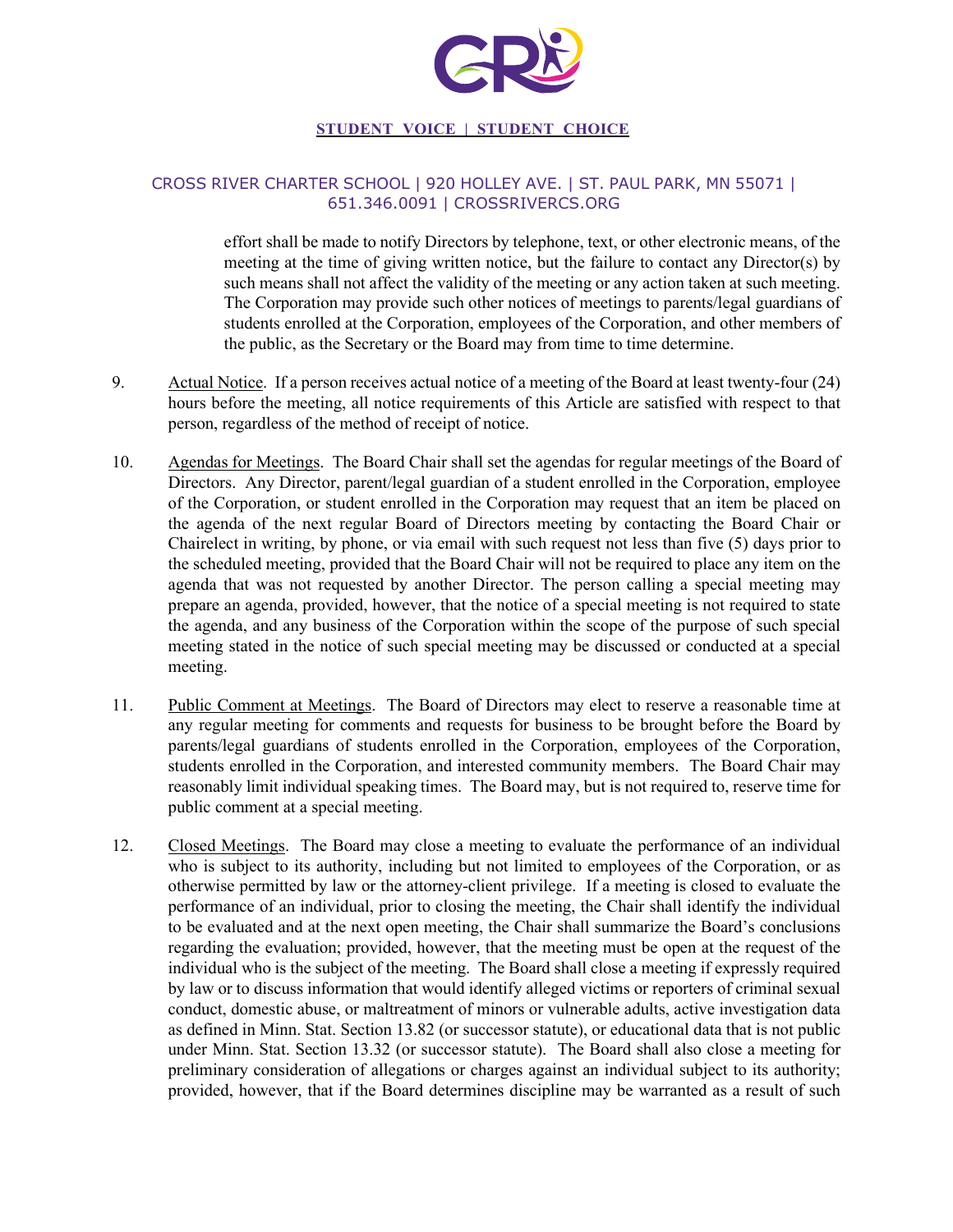

#### CROSS RIVER CHARTER SCHOOL | 920 HOLLEY AVE. | ST. PAUL PARK, MN 55071 | 651.346.0091 | CROSSRIVERCS.ORG

effort shall be made to notify Directors by telephone, text, or other electronic means, of the meeting at the time of giving written notice, but the failure to contact any Director(s) by such means shall not affect the validity of the meeting or any action taken at such meeting. The Corporation may provide such other notices of meetings to parents/legal guardians of students enrolled at the Corporation, employees of the Corporation, and other members of the public, as the Secretary or the Board may from time to time determine.

- 9. Actual Notice. If a person receives actual notice of a meeting of the Board at least twenty-four (24) hours before the meeting, all notice requirements of this Article are satisfied with respect to that person, regardless of the method of receipt of notice.
- 10. Agendas for Meetings. The Board Chair shall set the agendas for regular meetings of the Board of Directors. Any Director, parent/legal guardian of a student enrolled in the Corporation, employee of the Corporation, or student enrolled in the Corporation may request that an item be placed on the agenda of the next regular Board of Directors meeting by contacting the Board Chair or Chairelect in writing, by phone, or via email with such request not less than five (5) days prior to the scheduled meeting, provided that the Board Chair will not be required to place any item on the agenda that was not requested by another Director. The person calling a special meeting may prepare an agenda, provided, however, that the notice of a special meeting is not required to state the agenda, and any business of the Corporation within the scope of the purpose of such special meeting stated in the notice of such special meeting may be discussed or conducted at a special meeting.
- 11. Public Comment at Meetings. The Board of Directors may elect to reserve a reasonable time at any regular meeting for comments and requests for business to be brought before the Board by parents/legal guardians of students enrolled in the Corporation, employees of the Corporation, students enrolled in the Corporation, and interested community members. The Board Chair may reasonably limit individual speaking times. The Board may, but is not required to, reserve time for public comment at a special meeting.
- 12. Closed Meetings. The Board may close a meeting to evaluate the performance of an individual who is subject to its authority, including but not limited to employees of the Corporation, or as otherwise permitted by law or the attorney-client privilege. If a meeting is closed to evaluate the performance of an individual, prior to closing the meeting, the Chair shall identify the individual to be evaluated and at the next open meeting, the Chair shall summarize the Board's conclusions regarding the evaluation; provided, however, that the meeting must be open at the request of the individual who is the subject of the meeting. The Board shall close a meeting if expressly required by law or to discuss information that would identify alleged victims or reporters of criminal sexual conduct, domestic abuse, or maltreatment of minors or vulnerable adults, active investigation data as defined in Minn. Stat. Section 13.82 (or successor statute), or educational data that is not public under Minn. Stat. Section 13.32 (or successor statute). The Board shall also close a meeting for preliminary consideration of allegations or charges against an individual subject to its authority; provided, however, that if the Board determines discipline may be warranted as a result of such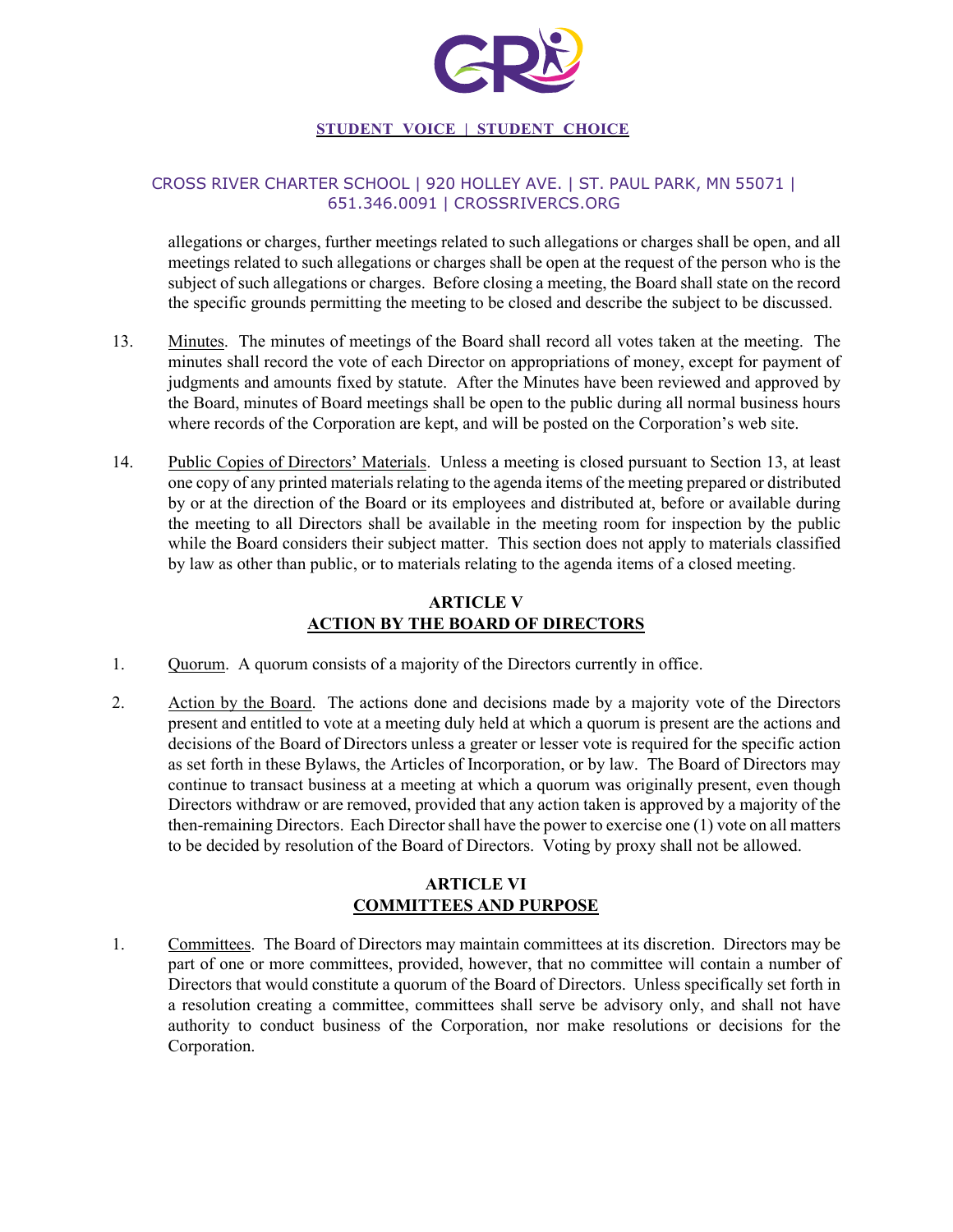

## CROSS RIVER CHARTER SCHOOL | 920 HOLLEY AVE. | ST. PAUL PARK, MN 55071 | 651.346.0091 | CROSSRIVERCS.ORG

allegations or charges, further meetings related to such allegations or charges shall be open, and all meetings related to such allegations or charges shall be open at the request of the person who is the subject of such allegations or charges. Before closing a meeting, the Board shall state on the record the specific grounds permitting the meeting to be closed and describe the subject to be discussed.

- 13. Minutes. The minutes of meetings of the Board shall record all votes taken at the meeting. The minutes shall record the vote of each Director on appropriations of money, except for payment of judgments and amounts fixed by statute. After the Minutes have been reviewed and approved by the Board, minutes of Board meetings shall be open to the public during all normal business hours where records of the Corporation are kept, and will be posted on the Corporation's web site.
- 14. Public Copies of Directors' Materials. Unless a meeting is closed pursuant to Section 13, at least one copy of any printed materials relating to the agenda items of the meeting prepared or distributed by or at the direction of the Board or its employees and distributed at, before or available during the meeting to all Directors shall be available in the meeting room for inspection by the public while the Board considers their subject matter. This section does not apply to materials classified by law as other than public, or to materials relating to the agenda items of a closed meeting.

# **ARTICLE V ACTION BY THE BOARD OF DIRECTORS**

- 1. Quorum. A quorum consists of a majority of the Directors currently in office.
- 2. Action by the Board. The actions done and decisions made by a majority vote of the Directors present and entitled to vote at a meeting duly held at which a quorum is present are the actions and decisions of the Board of Directors unless a greater or lesser vote is required for the specific action as set forth in these Bylaws, the Articles of Incorporation, or by law. The Board of Directors may continue to transact business at a meeting at which a quorum was originally present, even though Directors withdraw or are removed, provided that any action taken is approved by a majority of the then-remaining Directors. Each Director shall have the power to exercise one (1) vote on all matters to be decided by resolution of the Board of Directors. Voting by proxy shall not be allowed.

# **ARTICLE VI COMMITTEES AND PURPOSE**

1. Committees. The Board of Directors may maintain committees at its discretion. Directors may be part of one or more committees, provided, however, that no committee will contain a number of Directors that would constitute a quorum of the Board of Directors. Unless specifically set forth in a resolution creating a committee, committees shall serve be advisory only, and shall not have authority to conduct business of the Corporation, nor make resolutions or decisions for the Corporation.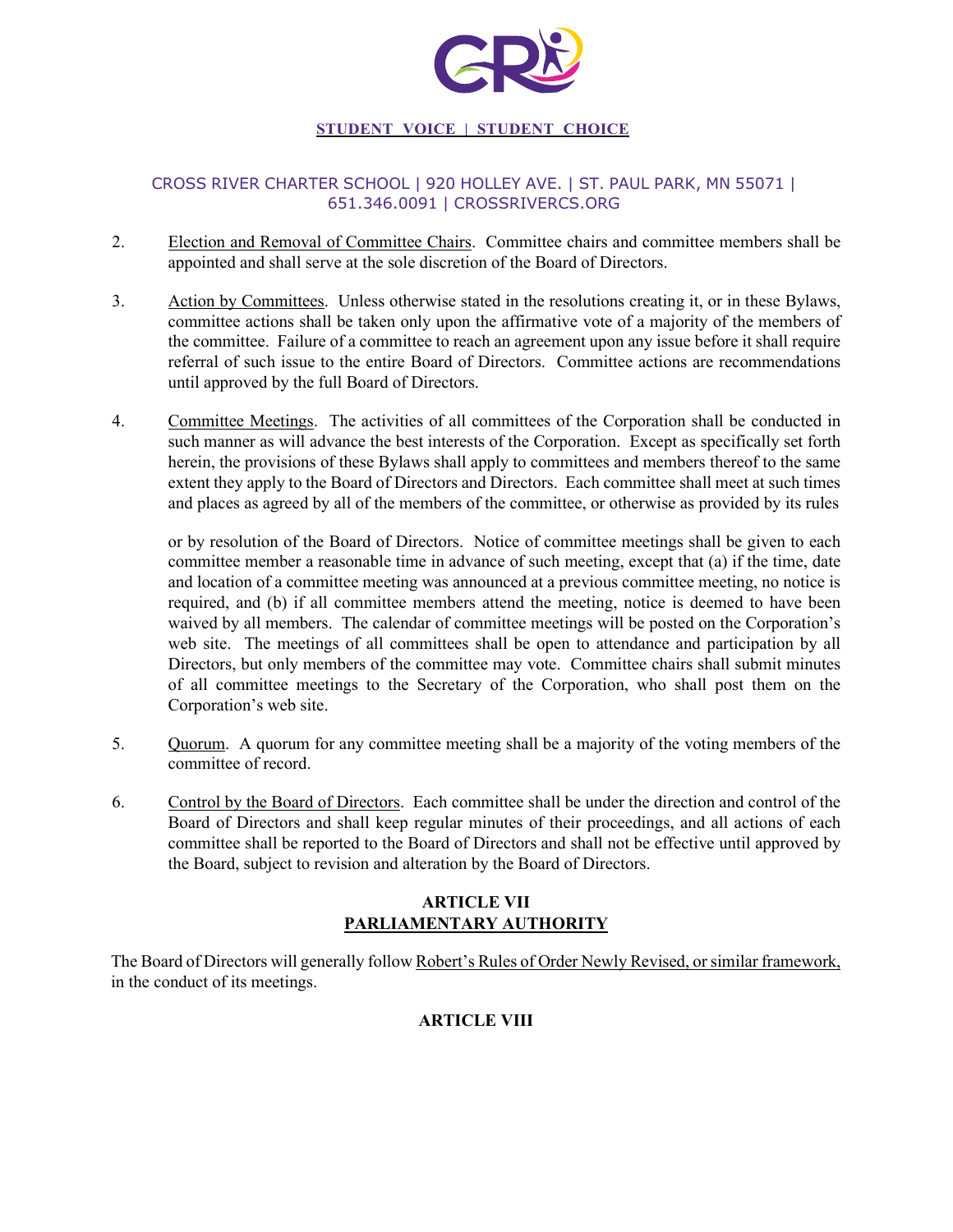

# CROSS RIVER CHARTER SCHOOL | 920 HOLLEY AVE. | ST. PAUL PARK, MN 55071 | 651.346.0091 | CROSSRIVERCS.ORG

- 2. Election and Removal of Committee Chairs. Committee chairs and committee members shall be appointed and shall serve at the sole discretion of the Board of Directors.
- 3. Action by Committees. Unless otherwise stated in the resolutions creating it, or in these Bylaws, committee actions shall be taken only upon the affirmative vote of a majority of the members of the committee. Failure of a committee to reach an agreement upon any issue before it shall require referral of such issue to the entire Board of Directors. Committee actions are recommendations until approved by the full Board of Directors.
- 4. Committee Meetings. The activities of all committees of the Corporation shall be conducted in such manner as will advance the best interests of the Corporation. Except as specifically set forth herein, the provisions of these Bylaws shall apply to committees and members thereof to the same extent they apply to the Board of Directors and Directors. Each committee shall meet at such times and places as agreed by all of the members of the committee, or otherwise as provided by its rules

or by resolution of the Board of Directors. Notice of committee meetings shall be given to each committee member a reasonable time in advance of such meeting, except that (a) if the time, date and location of a committee meeting was announced at a previous committee meeting, no notice is required, and (b) if all committee members attend the meeting, notice is deemed to have been waived by all members. The calendar of committee meetings will be posted on the Corporation's web site. The meetings of all committees shall be open to attendance and participation by all Directors, but only members of the committee may vote. Committee chairs shall submit minutes of all committee meetings to the Secretary of the Corporation, who shall post them on the Corporation's web site.

- 5. Quorum. A quorum for any committee meeting shall be a majority of the voting members of the committee of record.
- 6. Control by the Board of Directors. Each committee shall be under the direction and control of the Board of Directors and shall keep regular minutes of their proceedings, and all actions of each committee shall be reported to the Board of Directors and shall not be effective until approved by the Board, subject to revision and alteration by the Board of Directors.

# **ARTICLE VII PARLIAMENTARY AUTHORITY**

The Board of Directors will generally follow Robert's Rules of Order Newly Revised, or similar framework, in the conduct of its meetings.

# **ARTICLE VIII**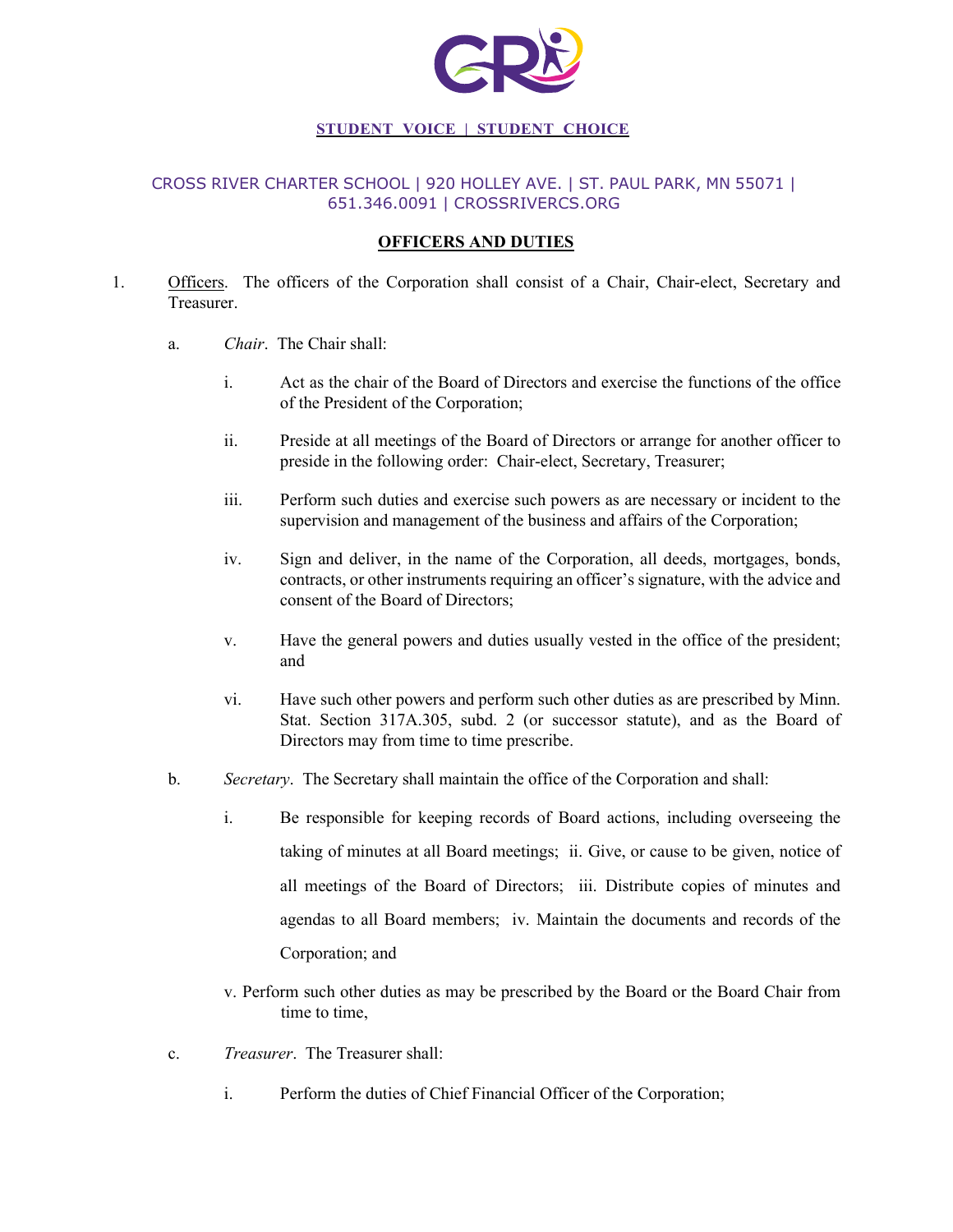

## CROSS RIVER CHARTER SCHOOL | 920 HOLLEY AVE. | ST. PAUL PARK, MN 55071 | 651.346.0091 | CROSSRIVERCS.ORG

### **OFFICERS AND DUTIES**

- 1. Officers. The officers of the Corporation shall consist of a Chair, Chair-elect, Secretary and Treasurer.
	- a. *Chair*. The Chair shall:
		- i. Act as the chair of the Board of Directors and exercise the functions of the office of the President of the Corporation;
		- ii. Preside at all meetings of the Board of Directors or arrange for another officer to preside in the following order: Chair-elect, Secretary, Treasurer;
		- iii. Perform such duties and exercise such powers as are necessary or incident to the supervision and management of the business and affairs of the Corporation;
		- iv. Sign and deliver, in the name of the Corporation, all deeds, mortgages, bonds, contracts, or other instruments requiring an officer's signature, with the advice and consent of the Board of Directors;
		- v. Have the general powers and duties usually vested in the office of the president; and
		- vi. Have such other powers and perform such other duties as are prescribed by Minn. Stat. Section 317A.305, subd. 2 (or successor statute), and as the Board of Directors may from time to time prescribe.
	- b. *Secretary*. The Secretary shall maintain the office of the Corporation and shall:
		- i. Be responsible for keeping records of Board actions, including overseeing the taking of minutes at all Board meetings; ii. Give, or cause to be given, notice of all meetings of the Board of Directors; iii. Distribute copies of minutes and agendas to all Board members; iv. Maintain the documents and records of the Corporation; and
		- v. Perform such other duties as may be prescribed by the Board or the Board Chair from time to time,
	- c. *Treasurer*. The Treasurer shall:
		- i. Perform the duties of Chief Financial Officer of the Corporation;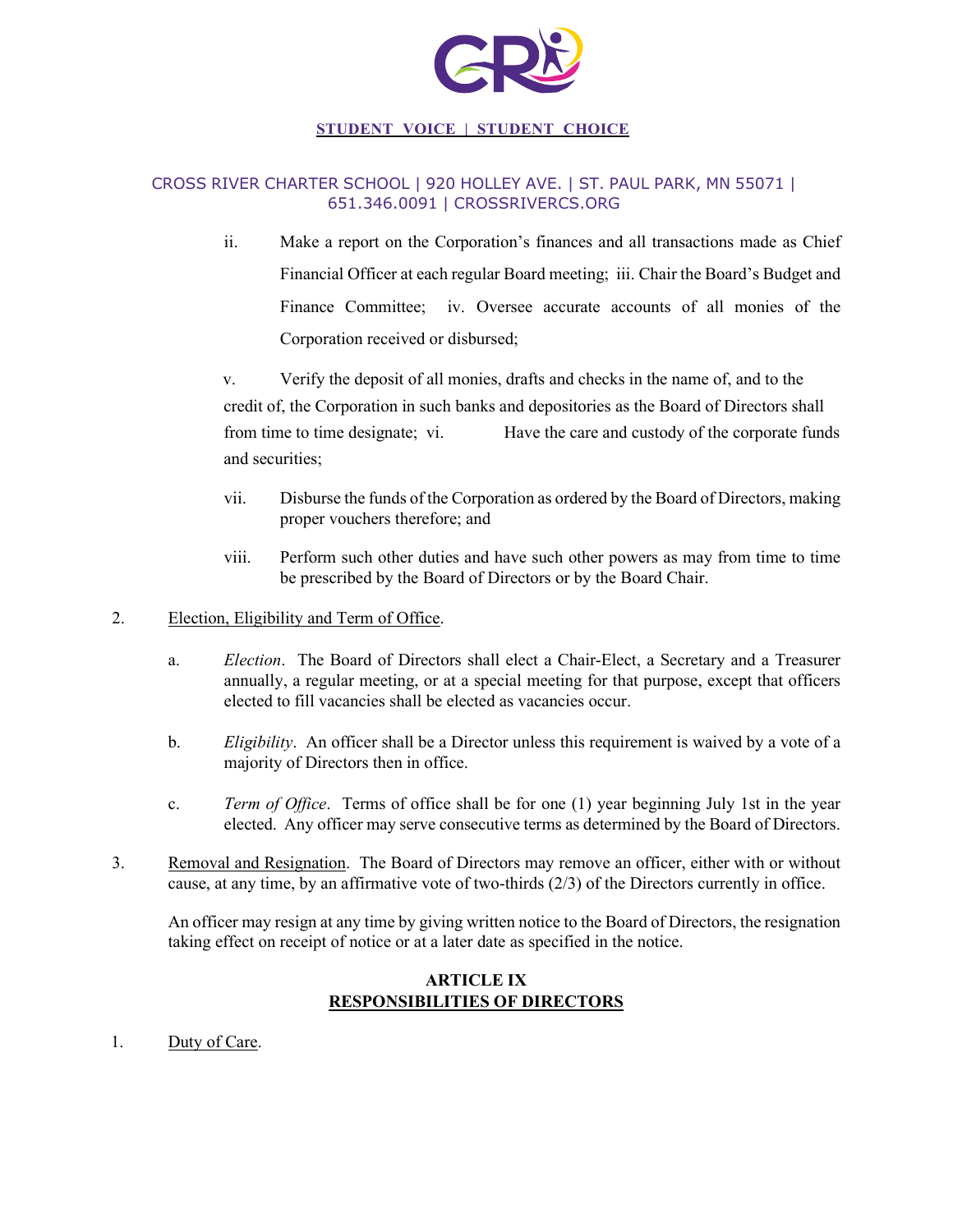

## CROSS RIVER CHARTER SCHOOL | 920 HOLLEY AVE. | ST. PAUL PARK, MN 55071 | 651.346.0091 | CROSSRIVERCS.ORG

ii. Make a report on the Corporation's finances and all transactions made as Chief Financial Officer at each regular Board meeting; iii. Chair the Board's Budget and Finance Committee; iv. Oversee accurate accounts of all monies of the Corporation received or disbursed;

v. Verify the deposit of all monies, drafts and checks in the name of, and to the credit of, the Corporation in such banks and depositories as the Board of Directors shall from time to time designate; vi. Have the care and custody of the corporate funds and securities;

- vii. Disburse the funds of the Corporation as ordered by the Board of Directors, making proper vouchers therefore; and
- viii. Perform such other duties and have such other powers as may from time to time be prescribed by the Board of Directors or by the Board Chair.
- 2. Election, Eligibility and Term of Office.
	- a. *Election*. The Board of Directors shall elect a Chair-Elect, a Secretary and a Treasurer annually, a regular meeting, or at a special meeting for that purpose, except that officers elected to fill vacancies shall be elected as vacancies occur.
	- b. *Eligibility*. An officer shall be a Director unless this requirement is waived by a vote of a majority of Directors then in office.
	- c. *Term of Office*. Terms of office shall be for one (1) year beginning July 1st in the year elected. Any officer may serve consecutive terms as determined by the Board of Directors.
- 3. Removal and Resignation. The Board of Directors may remove an officer, either with or without cause, at any time, by an affirmative vote of two-thirds (2/3) of the Directors currently in office.

An officer may resign at any time by giving written notice to the Board of Directors, the resignation taking effect on receipt of notice or at a later date as specified in the notice.

# **ARTICLE IX RESPONSIBILITIES OF DIRECTORS**

1. Duty of Care.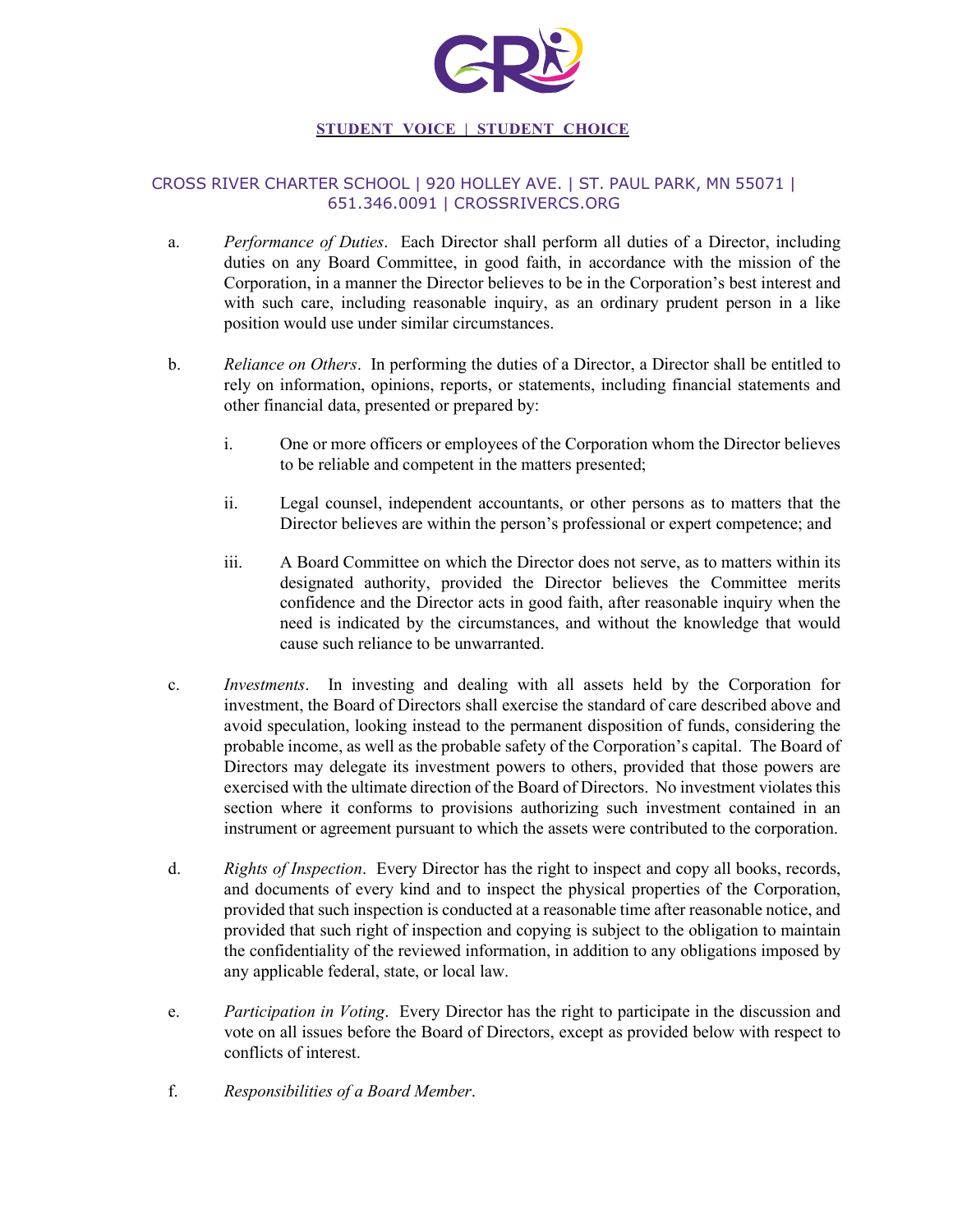

# CROSS RIVER CHARTER SCHOOL | 920 HOLLEY AVE. | ST. PAUL PARK, MN 55071 | 651.346.0091 | CROSSRIVERCS.ORG

- a. *Performance of Duties*. Each Director shall perform all duties of a Director, including duties on any Board Committee, in good faith, in accordance with the mission of the Corporation, in a manner the Director believes to be in the Corporation's best interest and with such care, including reasonable inquiry, as an ordinary prudent person in a like position would use under similar circumstances.
- b. *Reliance on Others*. In performing the duties of a Director, a Director shall be entitled to rely on information, opinions, reports, or statements, including financial statements and other financial data, presented or prepared by:
	- i. One or more officers or employees of the Corporation whom the Director believes to be reliable and competent in the matters presented;
	- ii. Legal counsel, independent accountants, or other persons as to matters that the Director believes are within the person's professional or expert competence; and
	- iii. A Board Committee on which the Director does not serve, as to matters within its designated authority, provided the Director believes the Committee merits confidence and the Director acts in good faith, after reasonable inquiry when the need is indicated by the circumstances, and without the knowledge that would cause such reliance to be unwarranted.
- c. *Investments*. In investing and dealing with all assets held by the Corporation for investment, the Board of Directors shall exercise the standard of care described above and avoid speculation, looking instead to the permanent disposition of funds, considering the probable income, as well as the probable safety of the Corporation's capital. The Board of Directors may delegate its investment powers to others, provided that those powers are exercised with the ultimate direction of the Board of Directors. No investment violates this section where it conforms to provisions authorizing such investment contained in an instrument or agreement pursuant to which the assets were contributed to the corporation.
- d. *Rights of Inspection*. Every Director has the right to inspect and copy all books, records, and documents of every kind and to inspect the physical properties of the Corporation, provided that such inspection is conducted at a reasonable time after reasonable notice, and provided that such right of inspection and copying is subject to the obligation to maintain the confidentiality of the reviewed information, in addition to any obligations imposed by any applicable federal, state, or local law.
- e. *Participation in Voting*. Every Director has the right to participate in the discussion and vote on all issues before the Board of Directors, except as provided below with respect to conflicts of interest.
- f. *Responsibilities of a Board Member*.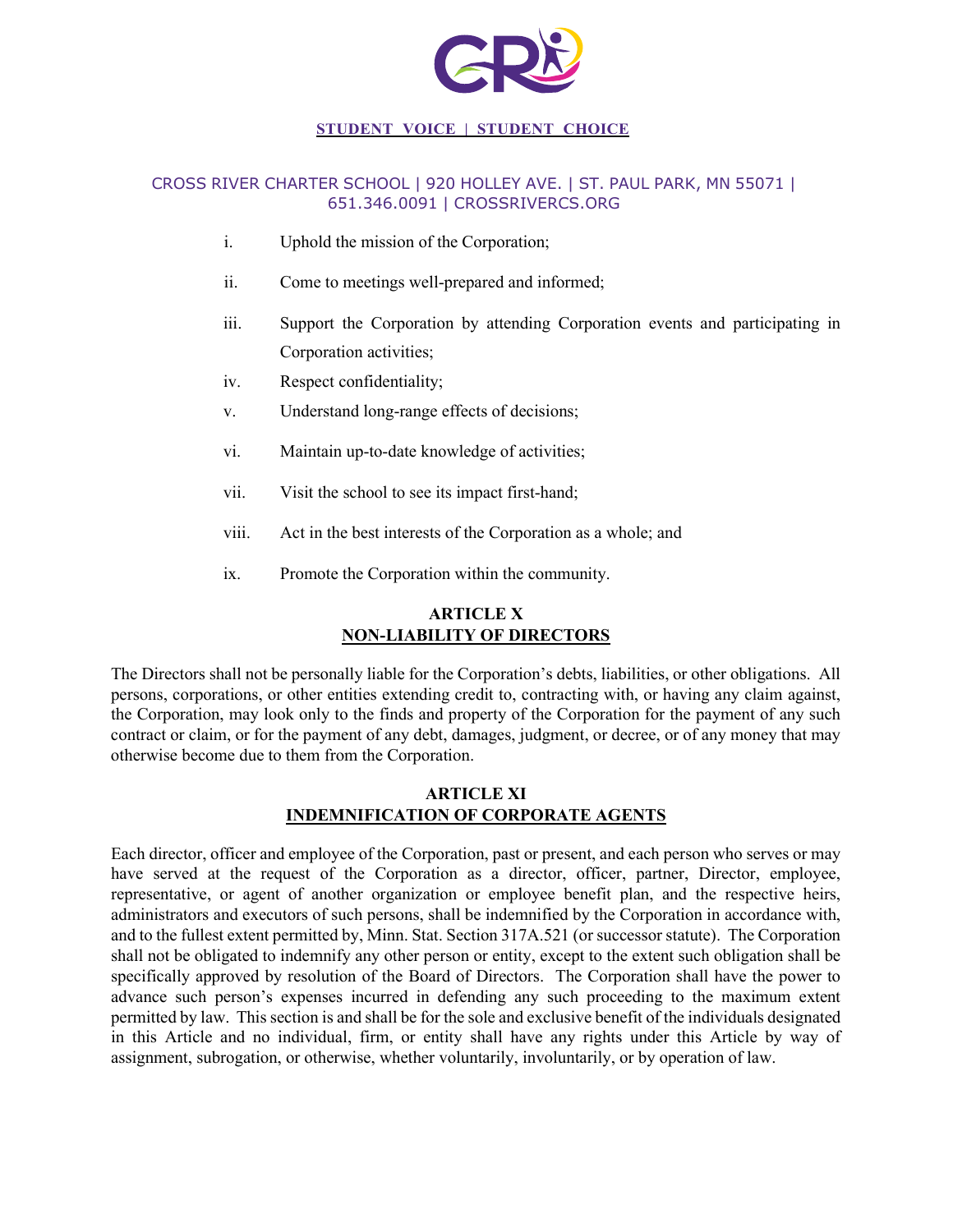

# CROSS RIVER CHARTER SCHOOL | 920 HOLLEY AVE. | ST. PAUL PARK, MN 55071 | 651.346.0091 | CROSSRIVERCS.ORG

- i. Uphold the mission of the Corporation;
- ii. Come to meetings well-prepared and informed;
- iii. Support the Corporation by attending Corporation events and participating in Corporation activities;
- iv. Respect confidentiality;
- v. Understand long-range effects of decisions;
- vi. Maintain up-to-date knowledge of activities;
- vii. Visit the school to see its impact first-hand;
- viii. Act in the best interests of the Corporation as a whole; and
- ix. Promote the Corporation within the community.

# **ARTICLE X NON-LIABILITY OF DIRECTORS**

The Directors shall not be personally liable for the Corporation's debts, liabilities, or other obligations. All persons, corporations, or other entities extending credit to, contracting with, or having any claim against, the Corporation, may look only to the finds and property of the Corporation for the payment of any such contract or claim, or for the payment of any debt, damages, judgment, or decree, or of any money that may otherwise become due to them from the Corporation.

# **ARTICLE XI INDEMNIFICATION OF CORPORATE AGENTS**

Each director, officer and employee of the Corporation, past or present, and each person who serves or may have served at the request of the Corporation as a director, officer, partner, Director, employee, representative, or agent of another organization or employee benefit plan, and the respective heirs, administrators and executors of such persons, shall be indemnified by the Corporation in accordance with, and to the fullest extent permitted by, Minn. Stat. Section 317A.521 (or successor statute). The Corporation shall not be obligated to indemnify any other person or entity, except to the extent such obligation shall be specifically approved by resolution of the Board of Directors. The Corporation shall have the power to advance such person's expenses incurred in defending any such proceeding to the maximum extent permitted by law. This section is and shall be for the sole and exclusive benefit of the individuals designated in this Article and no individual, firm, or entity shall have any rights under this Article by way of assignment, subrogation, or otherwise, whether voluntarily, involuntarily, or by operation of law.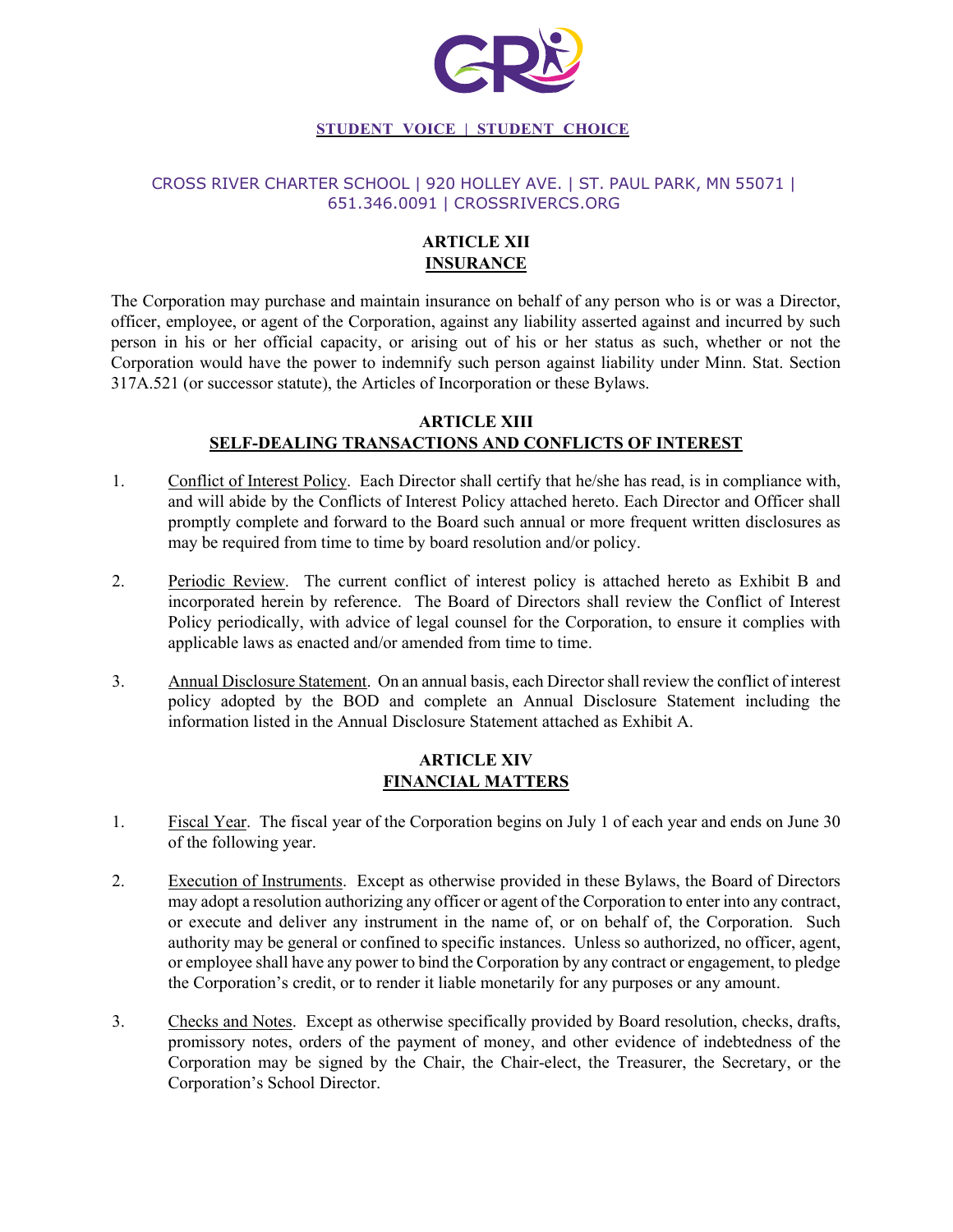

### CROSS RIVER CHARTER SCHOOL | 920 HOLLEY AVE. | ST. PAUL PARK, MN 55071 | 651.346.0091 | CROSSRIVERCS.ORG

# **ARTICLE XII INSURANCE**

The Corporation may purchase and maintain insurance on behalf of any person who is or was a Director, officer, employee, or agent of the Corporation, against any liability asserted against and incurred by such person in his or her official capacity, or arising out of his or her status as such, whether or not the Corporation would have the power to indemnify such person against liability under Minn. Stat. Section 317A.521 (or successor statute), the Articles of Incorporation or these Bylaws.

### **ARTICLE XIII SELF-DEALING TRANSACTIONS AND CONFLICTS OF INTEREST**

- 1. Conflict of Interest Policy. Each Director shall certify that he/she has read, is in compliance with, and will abide by the Conflicts of Interest Policy attached hereto. Each Director and Officer shall promptly complete and forward to the Board such annual or more frequent written disclosures as may be required from time to time by board resolution and/or policy.
- 2. Periodic Review. The current conflict of interest policy is attached hereto as Exhibit B and incorporated herein by reference. The Board of Directors shall review the Conflict of Interest Policy periodically, with advice of legal counsel for the Corporation, to ensure it complies with applicable laws as enacted and/or amended from time to time.
- 3. Annual Disclosure Statement. On an annual basis, each Director shall review the conflict of interest policy adopted by the BOD and complete an Annual Disclosure Statement including the information listed in the Annual Disclosure Statement attached as Exhibit A.

# **ARTICLE XIV FINANCIAL MATTERS**

- 1. Fiscal Year. The fiscal year of the Corporation begins on July 1 of each year and ends on June 30 of the following year.
- 2. Execution of Instruments. Except as otherwise provided in these Bylaws, the Board of Directors may adopt a resolution authorizing any officer or agent of the Corporation to enter into any contract, or execute and deliver any instrument in the name of, or on behalf of, the Corporation. Such authority may be general or confined to specific instances. Unless so authorized, no officer, agent, or employee shall have any power to bind the Corporation by any contract or engagement, to pledge the Corporation's credit, or to render it liable monetarily for any purposes or any amount.
- 3. Checks and Notes. Except as otherwise specifically provided by Board resolution, checks, drafts, promissory notes, orders of the payment of money, and other evidence of indebtedness of the Corporation may be signed by the Chair, the Chair-elect, the Treasurer, the Secretary, or the Corporation's School Director.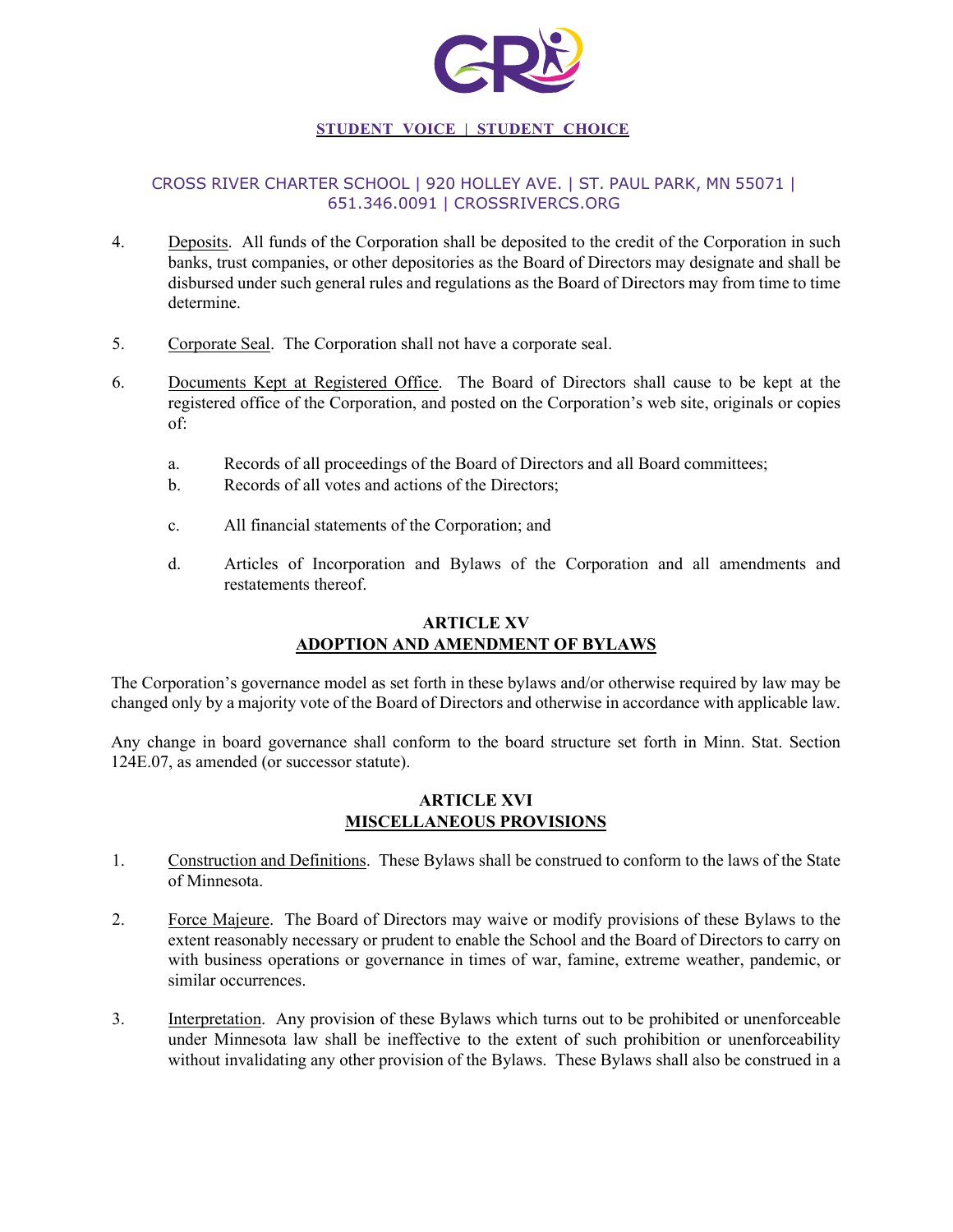

# CROSS RIVER CHARTER SCHOOL | 920 HOLLEY AVE. | ST. PAUL PARK, MN 55071 | 651.346.0091 | CROSSRIVERCS.ORG

- 4. Deposits. All funds of the Corporation shall be deposited to the credit of the Corporation in such banks, trust companies, or other depositories as the Board of Directors may designate and shall be disbursed under such general rules and regulations as the Board of Directors may from time to time determine.
- 5. Corporate Seal. The Corporation shall not have a corporate seal.
- 6. Documents Kept at Registered Office. The Board of Directors shall cause to be kept at the registered office of the Corporation, and posted on the Corporation's web site, originals or copies of:
	- a. Records of all proceedings of the Board of Directors and all Board committees;
	- b. Records of all votes and actions of the Directors;
	- c. All financial statements of the Corporation; and
	- d. Articles of Incorporation and Bylaws of the Corporation and all amendments and restatements thereof.

# **ARTICLE XV ADOPTION AND AMENDMENT OF BYLAWS**

The Corporation's governance model as set forth in these bylaws and/or otherwise required by law may be changed only by a majority vote of the Board of Directors and otherwise in accordance with applicable law.

Any change in board governance shall conform to the board structure set forth in Minn. Stat. Section 124E.07, as amended (or successor statute).

### **ARTICLE XVI MISCELLANEOUS PROVISIONS**

- 1. Construction and Definitions. These Bylaws shall be construed to conform to the laws of the State of Minnesota.
- 2. Force Majeure. The Board of Directors may waive or modify provisions of these Bylaws to the extent reasonably necessary or prudent to enable the School and the Board of Directors to carry on with business operations or governance in times of war, famine, extreme weather, pandemic, or similar occurrences.
- 3. Interpretation. Any provision of these Bylaws which turns out to be prohibited or unenforceable under Minnesota law shall be ineffective to the extent of such prohibition or unenforceability without invalidating any other provision of the Bylaws. These Bylaws shall also be construed in a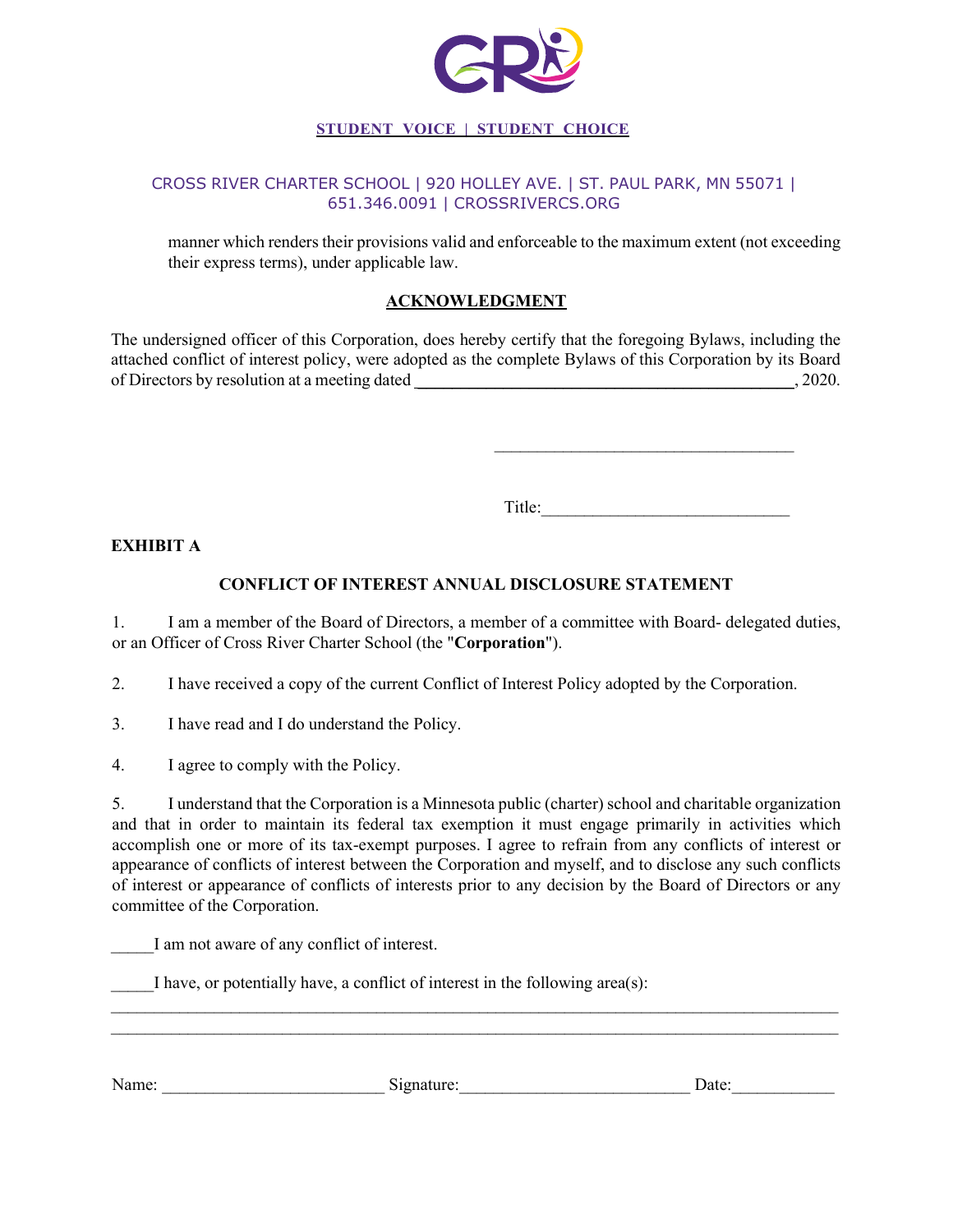

### CROSS RIVER CHARTER SCHOOL | 920 HOLLEY AVE. | ST. PAUL PARK, MN 55071 | 651.346.0091 | CROSSRIVERCS.ORG

manner which renders their provisions valid and enforceable to the maximum extent (not exceeding their express terms), under applicable law.

# **ACKNOWLEDGMENT**

The undersigned officer of this Corporation, does hereby certify that the foregoing Bylaws, including the attached conflict of interest policy, were adopted as the complete Bylaws of this Corporation by its Board of Directors by resolution at a meeting dated  $\qquad \qquad$ , 2020.

Title:

 $\mathcal{L}_\text{max}$  , where  $\mathcal{L}_\text{max}$  and  $\mathcal{L}_\text{max}$  and  $\mathcal{L}_\text{max}$ 

#### **EXHIBIT A**

### **CONFLICT OF INTEREST ANNUAL DISCLOSURE STATEMENT**

1. I am a member of the Board of Directors, a member of a committee with Board- delegated duties, or an Officer of Cross River Charter School (the "**Corporation**").

2. I have received a copy of the current Conflict of Interest Policy adopted by the Corporation.

3. I have read and I do understand the Policy.

4. I agree to comply with the Policy.

5. I understand that the Corporation is a Minnesota public (charter) school and charitable organization and that in order to maintain its federal tax exemption it must engage primarily in activities which accomplish one or more of its tax-exempt purposes. I agree to refrain from any conflicts of interest or appearance of conflicts of interest between the Corporation and myself, and to disclose any such conflicts of interest or appearance of conflicts of interests prior to any decision by the Board of Directors or any committee of the Corporation.

I am not aware of any conflict of interest.

I have, or potentially have, a conflict of interest in the following area(s):

Name: \_\_\_\_\_\_\_\_\_\_\_\_\_\_\_\_\_\_\_\_\_\_\_\_\_\_ Signature:\_\_\_\_\_\_\_\_\_\_\_\_\_\_\_\_\_\_\_\_\_\_\_\_\_\_\_ Date:\_\_\_\_\_\_\_\_\_\_\_\_

 $\mathcal{L}_\text{max}$  and  $\mathcal{L}_\text{max}$  and  $\mathcal{L}_\text{max}$  and  $\mathcal{L}_\text{max}$  and  $\mathcal{L}_\text{max}$  and  $\mathcal{L}_\text{max}$ \_\_\_\_\_\_\_\_\_\_\_\_\_\_\_\_\_\_\_\_\_\_\_\_\_\_\_\_\_\_\_\_\_\_\_\_\_\_\_\_\_\_\_\_\_\_\_\_\_\_\_\_\_\_\_\_\_\_\_\_\_\_\_\_\_\_\_\_\_\_\_\_\_\_\_\_\_\_\_\_\_\_\_\_\_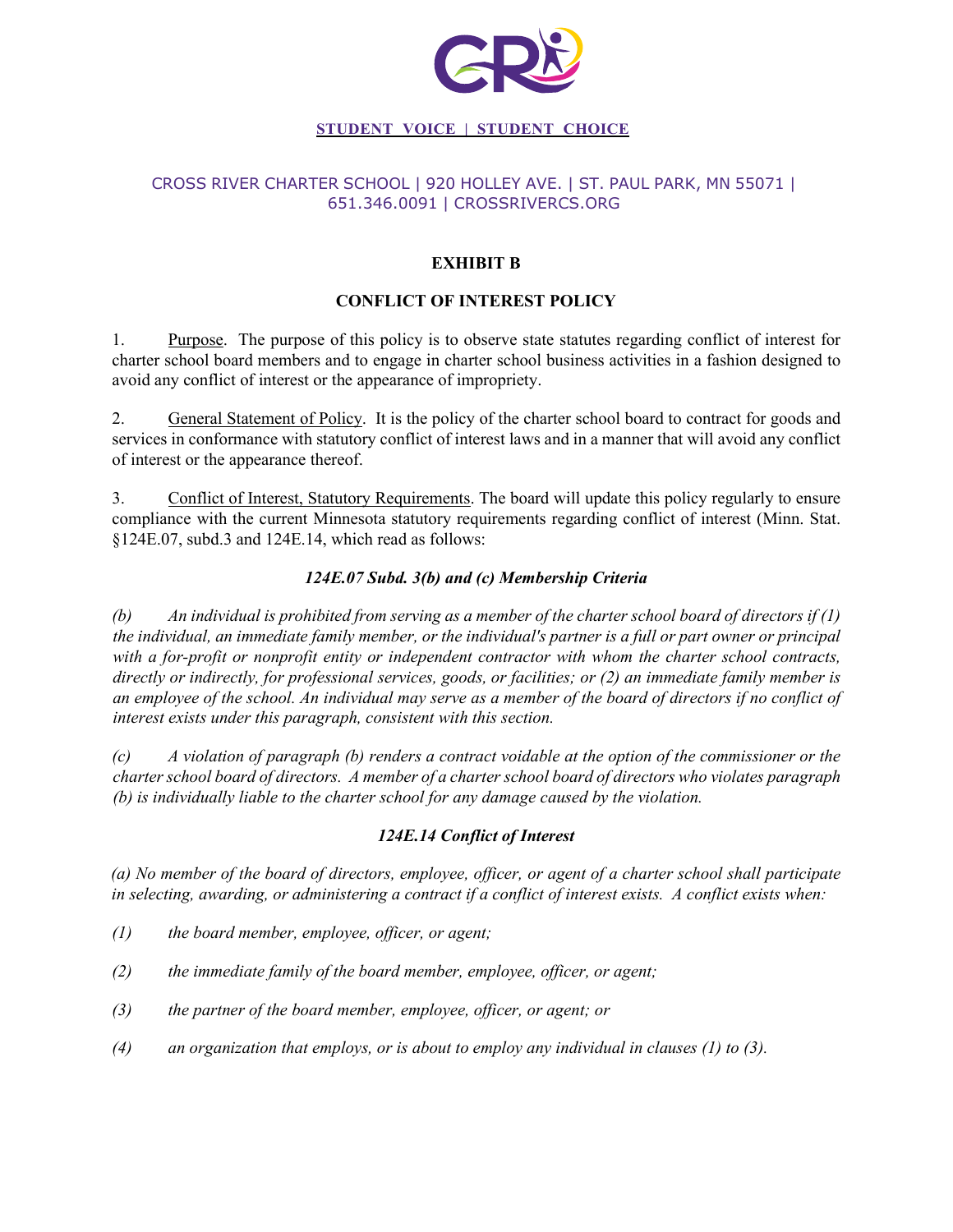

## CROSS RIVER CHARTER SCHOOL | 920 HOLLEY AVE. | ST. PAUL PARK, MN 55071 | 651.346.0091 | CROSSRIVERCS.ORG

# **EXHIBIT B**

# **CONFLICT OF INTEREST POLICY**

1. Purpose. The purpose of this policy is to observe state statutes regarding conflict of interest for charter school board members and to engage in charter school business activities in a fashion designed to avoid any conflict of interest or the appearance of impropriety.

2. General Statement of Policy. It is the policy of the charter school board to contract for goods and services in conformance with statutory conflict of interest laws and in a manner that will avoid any conflict of interest or the appearance thereof.

3. Conflict of Interest, Statutory Requirements. The board will update this policy regularly to ensure compliance with the current Minnesota statutory requirements regarding conflict of interest (Minn. Stat. §124E.07, subd.3 and 124E.14, which read as follows:

# *124E.07 Subd. 3(b) and (c) Membership Criteria*

*(b) An individual is prohibited from serving as a member of the charter school board of directors if (1) the individual, an immediate family member, or the individual's partner is a full or part owner or principal with a for-profit or nonprofit entity or independent contractor with whom the charter school contracts, directly or indirectly, for professional services, goods, or facilities; or (2) an immediate family member is an employee of the school. An individual may serve as a member of the board of directors if no conflict of interest exists under this paragraph, consistent with this section.* 

*(c) A violation of paragraph (b) renders a contract voidable at the option of the commissioner or the charter school board of directors. A member of a charter school board of directors who violates paragraph (b) is individually liable to the charter school for any damage caused by the violation.* 

### *124E.14 Conflict of Interest*

*(a) No member of the board of directors, employee, officer, or agent of a charter school shall participate in selecting, awarding, or administering a contract if a conflict of interest exists. A conflict exists when:* 

- *(1) the board member, employee, officer, or agent;*
- *(2) the immediate family of the board member, employee, officer, or agent;*
- *(3) the partner of the board member, employee, officer, or agent; or*
- *(4) an organization that employs, or is about to employ any individual in clauses (1) to (3).*